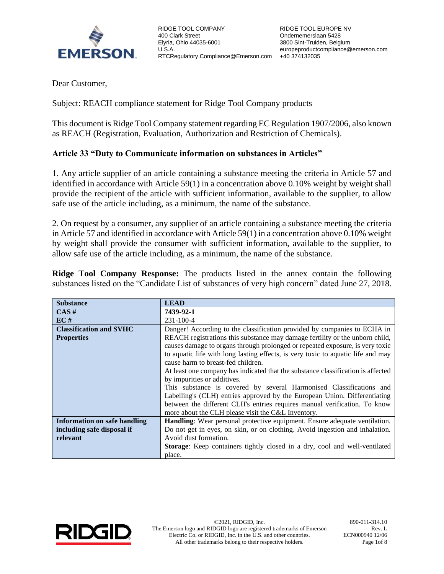

Dear Customer,

Subject: REACH compliance statement for Ridge Tool Company products

This document is Ridge Tool Company statement regarding EC Regulation 1907/2006, also known as REACH (Registration, Evaluation, Authorization and Restriction of Chemicals).

## **Article 33 "Duty to Communicate information on substances in Articles"**

1. Any article supplier of an article containing a substance meeting the criteria in Article 57 and identified in accordance with Article 59(1) in a concentration above 0.10% weight by weight shall provide the recipient of the article with sufficient information, available to the supplier, to allow safe use of the article including, as a minimum, the name of the substance.

2. On request by a consumer, any supplier of an article containing a substance meeting the criteria in Article 57 and identified in accordance with Article 59(1) in a concentration above 0.10% weight by weight shall provide the consumer with sufficient information, available to the supplier, to allow safe use of the article including, as a minimum, the name of the substance.

**Ridge Tool Company Response:** The products listed in the annex contain the following substances listed on the "Candidate List of substances of very high concern" dated June 27, 2018.

| <b>Substance</b>               | <b>LEAD</b>                                                                       |  |  |
|--------------------------------|-----------------------------------------------------------------------------------|--|--|
| $CAS \#$                       | 7439-92-1                                                                         |  |  |
| EC#                            | $231 - 100 - 4$                                                                   |  |  |
| <b>Classification and SVHC</b> | Danger! According to the classification provided by companies to ECHA in          |  |  |
| <b>Properties</b>              | REACH registrations this substance may damage fertility or the unborn child,      |  |  |
|                                | causes damage to organs through prolonged or repeated exposure, is very toxic     |  |  |
|                                | to aquatic life with long lasting effects, is very toxic to aquatic life and may  |  |  |
|                                | cause harm to breast-fed children.                                                |  |  |
|                                | At least one company has indicated that the substance classification is affected  |  |  |
|                                | by impurities or additives.                                                       |  |  |
|                                | This substance is covered by several Harmonised Classifications and               |  |  |
|                                | Labelling's (CLH) entries approved by the European Union. Differentiating         |  |  |
|                                | between the different CLH's entries requires manual verification. To know         |  |  |
|                                | more about the CLH please visit the C&L Inventory.                                |  |  |
| Information on safe handling   | Handling: Wear personal protective equipment. Ensure adequate ventilation.        |  |  |
| including safe disposal if     | Do not get in eyes, on skin, or on clothing. Avoid ingestion and inhalation.      |  |  |
| relevant                       | Avoid dust formation.                                                             |  |  |
|                                | <b>Storage:</b> Keep containers tightly closed in a dry, cool and well-ventilated |  |  |
|                                | place.                                                                            |  |  |

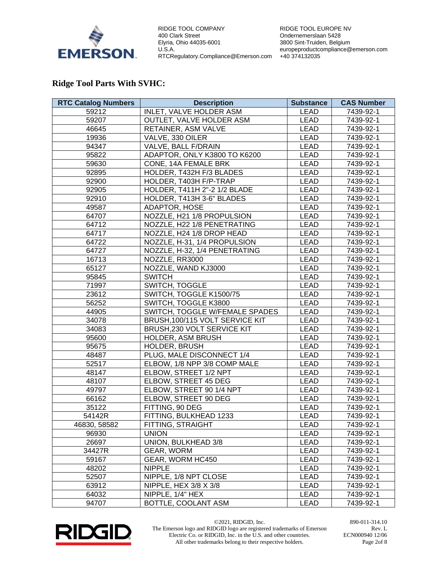

RIDGE TOOL EUROPE NV Ondernemerslaan 5428 3800 Sint-Truiden, Belgium europeproductcompliance@emerson.com +40 374132035

## **Ridge Tool Parts With SVHC:**

| <b>RTC Catalog Numbers</b> | <b>Description</b>              | <b>Substance</b> | <b>CAS Number</b> |
|----------------------------|---------------------------------|------------------|-------------------|
| 59212                      | INLET, VALVE HOLDER ASM         | <b>LEAD</b>      | 7439-92-1         |
| 59207                      | OUTLET, VALVE HOLDER ASM        | LEAD             | 7439-92-1         |
| 46645                      | RETAINER, ASM VALVE             | <b>LEAD</b>      | 7439-92-1         |
| 19936                      | VALVE, 330 OILER                | <b>LEAD</b>      | 7439-92-1         |
| 94347                      | VALVE, BALL F/DRAIN             | LEAD             | 7439-92-1         |
| 95822                      | ADAPTOR, ONLY K3800 TO K6200    | <b>LEAD</b>      | 7439-92-1         |
| 59630                      | CONE, 14A FEMALE BRK            | <b>LEAD</b>      | 7439-92-1         |
| 92895                      | HOLDER, T432H F/3 BLADES        | <b>LEAD</b>      | 7439-92-1         |
| 92900                      | HOLDER, T403H F/P-TRAP          | LEAD             | 7439-92-1         |
| 92905                      | HOLDER, T411H 2"-2 1/2 BLADE    | LEAD             | 7439-92-1         |
| 92910                      | HOLDER, T413H 3-6" BLADES       | <b>LEAD</b>      | 7439-92-1         |
| 49587                      | ADAPTOR, HOSE                   | <b>LEAD</b>      | 7439-92-1         |
| 64707                      | NOZZLE, H21 1/8 PROPULSION      | <b>LEAD</b>      | 7439-92-1         |
| 64712                      | NOZZLE, H22 1/8 PENETRATING     | LEAD             | 7439-92-1         |
| 64717                      | NOZZLE, H24 1/8 DROP HEAD       | <b>LEAD</b>      | 7439-92-1         |
| 64722                      | NOZZLE, H-31, 1/4 PROPULSION    | <b>LEAD</b>      | 7439-92-1         |
| 64727                      | NOZZLE, H-32, 1/4 PENETRATING   | <b>LEAD</b>      | 7439-92-1         |
| 16713                      | NOZZLE, RR3000                  | <b>LEAD</b>      | 7439-92-1         |
| 65127                      | NOZZLE, WAND KJ3000             | LEAD             | 7439-92-1         |
| 95845                      | <b>SWITCH</b>                   | <b>LEAD</b>      | 7439-92-1         |
| 71997                      | SWITCH, TOGGLE                  | <b>LEAD</b>      | 7439-92-1         |
| 23612                      | SWITCH, TOGGLE K1500/75         | <b>LEAD</b>      | 7439-92-1         |
| 56252                      | SWITCH, TOGGLE K3800            | <b>LEAD</b>      | 7439-92-1         |
| 44905                      | SWITCH, TOGGLE W/FEMALE SPADES  | LEAD             | 7439-92-1         |
| 34078                      | BRUSH, 100/115 VOLT SERVICE KIT | <b>LEAD</b>      | 7439-92-1         |
| 34083                      | BRUSH, 230 VOLT SERVICE KIT     | <b>LEAD</b>      | 7439-92-1         |
| 95600                      | HOLDER, ASM BRUSH               | <b>LEAD</b>      | 7439-92-1         |
| 95675                      | HOLDER, BRUSH                   | <b>LEAD</b>      | 7439-92-1         |
| 48487                      | PLUG, MALE DISCONNECT 1/4       | <b>LEAD</b>      | 7439-92-1         |
| 52517                      | ELBOW, 1/8 NPP 3/8 COMP MALE    | <b>LEAD</b>      | 7439-92-1         |
| 48147                      | ELBOW, STREET 1/2 NPT           | <b>LEAD</b>      | 7439-92-1         |
| 48107                      | ELBOW, STREET 45 DEG            | LEAD             | 7439-92-1         |
| 49797                      | ELBOW, STREET 90 1/4 NPT        | LEAD             | 7439-92-1         |
| 66162                      | ELBOW, STREET 90 DEG            | LEAD             | 7439-92-1         |
| 35122                      | FITTING, 90 DEG                 | <b>LEAD</b>      | 7439-92-1         |
| 54142R                     | FITTING, BULKHEAD 1233          | <b>LEAD</b>      | 7439-92-1         |
| 46830, 58582               | FITTING, STRAIGHT               | <b>LEAD</b>      | 7439-92-1         |
| 96930                      | <b>UNION</b>                    | <b>LEAD</b>      | 7439-92-1         |
| 26697                      | UNION, BULKHEAD 3/8             | LEAD             | 7439-92-1         |
| 34427R                     | GEAR, WORM                      | LEAD             | 7439-92-1         |
| 59167                      | GEAR, WORM HC450                | LEAD             | 7439-92-1         |
| 48202                      | <b>NIPPLE</b>                   | LEAD             | 7439-92-1         |
| 52507                      | NIPPLE, 1/8 NPT CLOSE           | LEAD             | 7439-92-1         |
| 63912                      | NIPPLE, HEX 3/8 X 3/8           | LEAD             | 7439-92-1         |
| 64032                      | NIPPLE, 1/4" HEX                | LEAD             | 7439-92-1         |
| 94707                      | BOTTLE, COOLANT ASM             | LEAD             | 7439-92-1         |



©2021, RIDGID, Inc. 890-011-314.10 The Emerson logo and RIDGID logo are registered trademarks of Emerson Electric Co. or RIDGID, Inc. in the U.S. and other countries. All other trademarks belong to their respective holders.

Rev. L ECN000940 12/06 Page 2of 8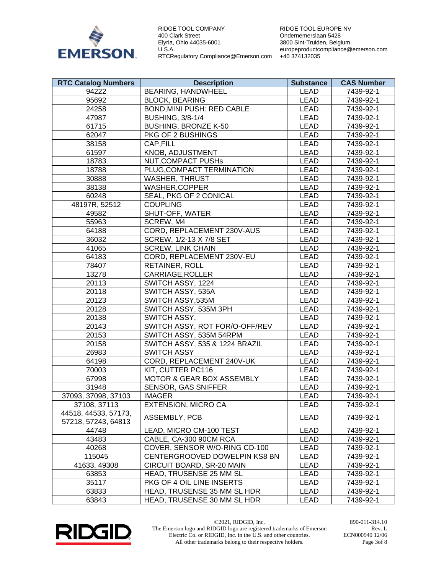

RIDGE TOOL EUROPE NV Ondernemerslaan 5428 3800 Sint-Truiden, Belgium europeproductcompliance@emerson.com +40 374132035

| <b>RTC Catalog Numbers</b> | <b>Description</b>             | <b>Substance</b> | <b>CAS Number</b> |
|----------------------------|--------------------------------|------------------|-------------------|
| 94222                      | BEARING, HANDWHEEL             | <b>LEAD</b>      | 7439-92-1         |
| 95692                      | <b>BLOCK, BEARING</b>          | <b>LEAD</b>      | 7439-92-1         |
| 24258                      | BOND, MINI PUSH: RED CABLE     | <b>LEAD</b>      | 7439-92-1         |
| 47987                      | <b>BUSHING, 3/8-1/4</b>        | <b>LEAD</b>      | 7439-92-1         |
| 61715                      | <b>BUSHING, BRONZE K-50</b>    | <b>LEAD</b>      | 7439-92-1         |
| 62047                      | PKG OF 2 BUSHINGS              | <b>LEAD</b>      | 7439-92-1         |
| 38158                      | CAP, FILL                      | <b>LEAD</b>      | 7439-92-1         |
| 61597                      | KNOB, ADJUSTMENT               | <b>LEAD</b>      | 7439-92-1         |
| 18783                      | <b>NUT, COMPACT PUSHs</b>      | <b>LEAD</b>      | 7439-92-1         |
| 18788                      | PLUG, COMPACT TERMINATION      | <b>LEAD</b>      | 7439-92-1         |
| 30888                      | <b>WASHER, THRUST</b>          | <b>LEAD</b>      | 7439-92-1         |
| 38138                      | WASHER, COPPER                 | <b>LEAD</b>      | 7439-92-1         |
| 60248                      | SEAL, PKG OF 2 CONICAL         | <b>LEAD</b>      | 7439-92-1         |
| 48197R, 52512              | <b>COUPLING</b>                | <b>LEAD</b>      | 7439-92-1         |
| 49582                      | SHUT-OFF, WATER                | <b>LEAD</b>      | 7439-92-1         |
| 55963                      | SCREW, M4                      | <b>LEAD</b>      | 7439-92-1         |
| 64188                      | CORD, REPLACEMENT 230V-AUS     | <b>LEAD</b>      | 7439-92-1         |
| 36032                      | SCREW, 1/2-13 X 7/8 SET        | <b>LEAD</b>      | 7439-92-1         |
| 41065                      | <b>SCREW, LINK CHAIN</b>       | <b>LEAD</b>      | 7439-92-1         |
| 64183                      | CORD, REPLACEMENT 230V-EU      | <b>LEAD</b>      | 7439-92-1         |
| 78407                      | RETAINER, ROLL                 | <b>LEAD</b>      | 7439-92-1         |
| 13278                      | CARRIAGE, ROLLER               | <b>LEAD</b>      | 7439-92-1         |
| 20113                      | SWITCH ASSY, 1224              | <b>LEAD</b>      | 7439-92-1         |
| 20118                      | SWITCH ASSY, 535A              | <b>LEAD</b>      | 7439-92-1         |
| 20123                      | SWITCH ASSY,535M               | <b>LEAD</b>      | 7439-92-1         |
| 20128                      | SWITCH ASSY, 535M 3PH          | <b>LEAD</b>      | 7439-92-1         |
| 20138                      | SWITCH ASSY,                   | <b>LEAD</b>      | 7439-92-1         |
| 20143                      | SWITCH ASSY, ROT FOR/O-OFF/REV | <b>LEAD</b>      | 7439-92-1         |
| 20153                      | SWITCH ASSY, 535M 54RPM        | <b>LEAD</b>      | 7439-92-1         |
| 20158                      | SWITCH ASSY, 535 & 1224 BRAZIL | <b>LEAD</b>      | 7439-92-1         |
| 26983                      | <b>SWITCH ASSY</b>             | <b>LEAD</b>      | 7439-92-1         |
| 64198                      | CORD, REPLACEMENT 240V-UK      | <b>LEAD</b>      | 7439-92-1         |
| 70003                      | KIT, CUTTER PC116              | <b>LEAD</b>      | 7439-92-1         |
| 67998                      | MOTOR & GEAR BOX ASSEMBLY      | <b>LEAD</b>      | 7439-92-1         |
| 31948                      | <b>SENSOR, GAS SNIFFER</b>     | <b>LEAD</b>      | 7439-92-1         |
| 37093, 37098, 37103        | <b>IMAGER</b>                  | <b>LEAD</b>      | 7439-92-1         |
| 37108, 37113               | <b>EXTENSION, MICRO CA</b>     | LEAD             | 7439-92-1         |
| 44518, 44533, 57173,       | ASSEMBLY, PCB                  | LEAD             | 7439-92-1         |
| 57218, 57243, 64813        |                                |                  |                   |
| 44748                      | LEAD, MICRO CM-100 TEST        | LEAD             | 7439-92-1         |
| 43483                      | CABLE, CA-300 90CM RCA         | LEAD             | 7439-92-1         |
| 40268                      | COVER, SENSOR W/O-RING CD-100  | LEAD             | 7439-92-1         |
| 115045                     | CENTERGROOVED DOWELPIN KS8 BN  | <b>LEAD</b>      | 7439-92-1         |
| 41633, 49308               | CIRCUIT BOARD, SR-20 MAIN      | LEAD             | 7439-92-1         |
| 63853                      | HEAD, TRUSENSE 25 MM SL        | LEAD             | 7439-92-1         |
| 35117                      | PKG OF 4 OIL LINE INSERTS      | LEAD             | 7439-92-1         |
| 63833                      | HEAD, TRUSENSE 35 MM SL HDR    | LEAD             | 7439-92-1         |
| 63843                      | HEAD, TRUSENSE 30 MM SL HDR    | LEAD             | 7439-92-1         |



©2021, RIDGID, Inc. 890-011-314.10 The Emerson logo and RIDGID logo are registered trademarks of Emerson Electric Co. or RIDGID, Inc. in the U.S. and other countries. All other trademarks belong to their respective holders.

Rev. L ECN000940 12/06 Page 3of 8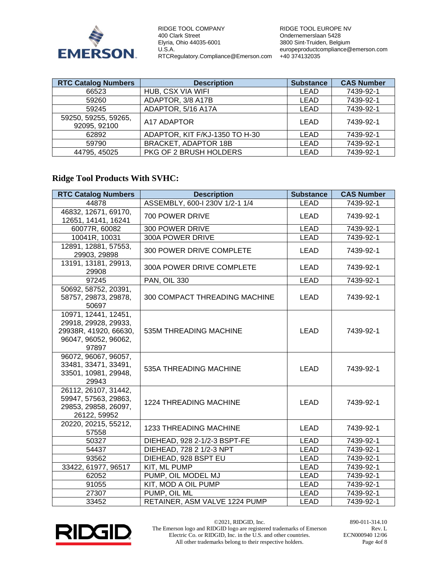

RIDGE TOOL EUROPE NV Ondernemerslaan 5428 3800 Sint-Truiden, Belgium europeproductcompliance@emerson.com +40 374132035

| <b>RTC Catalog Numbers</b>           | <b>Description</b>             | <b>Substance</b> | <b>CAS Number</b> |
|--------------------------------------|--------------------------------|------------------|-------------------|
| 66523                                | HUB, CSX VIA WIFI              | LEAD             | 7439-92-1         |
| 59260                                | ADAPTOR, 3/8 A17B              | LEAD             | 7439-92-1         |
| 59245                                | ADAPTOR, 5/16 A17A             | <b>LEAD</b>      | 7439-92-1         |
| 59250, 59255, 59265,<br>92095, 92100 | A17 ADAPTOR                    | <b>LEAD</b>      | 7439-92-1         |
| 62892                                | ADAPTOR, KIT F/KJ-1350 TO H-30 | LEAD             | 7439-92-1         |
| 59790                                | <b>BRACKET, ADAPTOR 18B</b>    | <b>LEAD</b>      | 7439-92-1         |
| 44795, 45025                         | PKG OF 2 BRUSH HOLDERS         | <b>LEAD</b>      | 7439-92-1         |

## **Ridge Tool Products With SVHC:**

| <b>RTC Catalog Numbers</b>                                                                             | <b>Description</b>             | <b>Substance</b> | <b>CAS Number</b> |
|--------------------------------------------------------------------------------------------------------|--------------------------------|------------------|-------------------|
| 44878                                                                                                  | ASSEMBLY, 600-I 230V 1/2-1 1/4 | <b>LEAD</b>      | 7439-92-1         |
| 46832, 12671, 69170,<br>12651, 14141, 16241                                                            | 700 POWER DRIVE                | <b>LEAD</b>      | 7439-92-1         |
| 60077R, 60082                                                                                          | 300 POWER DRIVE                | <b>LEAD</b>      | 7439-92-1         |
| 10041R, 10031                                                                                          | 300A POWER DRIVE               | <b>LEAD</b>      | 7439-92-1         |
| 12891, 12881, 57553,<br>29903, 29898                                                                   | 300 POWER DRIVE COMPLETE       | <b>LEAD</b>      | 7439-92-1         |
| 13191, 13181, 29913,<br>29908                                                                          | 300A POWER DRIVE COMPLETE      | LEAD             | 7439-92-1         |
| 97245                                                                                                  | <b>PAN, OIL 330</b>            | <b>LEAD</b>      | 7439-92-1         |
| 50692, 58752, 20391,<br>58757, 29873, 29878,<br>50697                                                  | 300 COMPACT THREADING MACHINE  | <b>LEAD</b>      | 7439-92-1         |
| 10971, 12441, 12451,<br>29918, 29928, 29933,<br>29938R, 41920, 66630,<br>96047, 96052, 96062,<br>97897 | 535M THREADING MACHINE         | <b>LEAD</b>      | 7439-92-1         |
| 96072, 96067, 96057,<br>33481, 33471, 33491,<br>33501, 10981, 29948,<br>29943                          | 535A THREADING MACHINE         | <b>LEAD</b>      | 7439-92-1         |
| 26112, 26107, 31442,<br>59947, 57563, 29863,<br>29853, 29858, 26097,<br>26122, 59952                   | <b>1224 THREADING MACHINE</b>  | <b>LEAD</b>      | 7439-92-1         |
| 20220, 20215, 55212,<br>57558                                                                          | <b>1233 THREADING MACHINE</b>  | LEAD             | 7439-92-1         |
| 50327                                                                                                  | DIEHEAD, 928 2-1/2-3 BSPT-FE   | <b>LEAD</b>      | 7439-92-1         |
| 54437                                                                                                  | DIEHEAD, 728 2 1/2-3 NPT       | <b>LEAD</b>      | 7439-92-1         |
| 93562                                                                                                  | DIEHEAD, 928 BSPT EU           | <b>LEAD</b>      | 7439-92-1         |
| 33422, 61977, 96517                                                                                    | KIT, ML PUMP                   | <b>LEAD</b>      | 7439-92-1         |
| 62052                                                                                                  | PUMP, OIL MODEL MJ             | <b>LEAD</b>      | 7439-92-1         |
| 91055                                                                                                  | KIT, MOD A OIL PUMP            | <b>LEAD</b>      | 7439-92-1         |
| 27307                                                                                                  | PUMP, OIL ML                   | <b>LEAD</b>      | 7439-92-1         |
| 33452                                                                                                  | RETAINER, ASM VALVE 1224 PUMP  | <b>LEAD</b>      | 7439-92-1         |



©2021, RIDGID, Inc. 890-011-314.10 The Emerson logo and RIDGID logo are registered trademarks of Emerson Electric Co. or RIDGID, Inc. in the U.S. and other countries. All other trademarks belong to their respective holders.

Rev. L ECN000940 12/06 Page 4of 8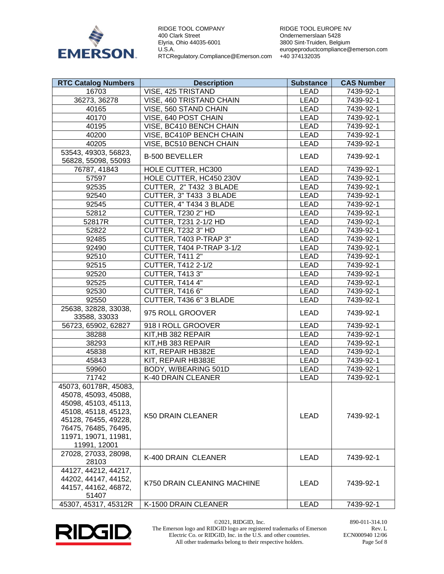

RIDGE TOOL EUROPE NV Ondernemerslaan 5428 3800 Sint-Truiden, Belgium europeproductcompliance@emerson.com +40 374132035

| <b>RTC Catalog Numbers</b>                                                                    | <b>Description</b>          | <b>Substance</b> | <b>CAS Number</b> |
|-----------------------------------------------------------------------------------------------|-----------------------------|------------------|-------------------|
| 16703                                                                                         | VISE, 425 TRISTAND          | <b>LEAD</b>      | 7439-92-1         |
| 36273, 36278                                                                                  | VISE, 460 TRISTAND CHAIN    | <b>LEAD</b>      | 7439-92-1         |
| 40165                                                                                         | VISE, 560 STAND CHAIN       | <b>LEAD</b>      | 7439-92-1         |
| 40170                                                                                         | VISE, 640 POST CHAIN        | <b>LEAD</b>      | 7439-92-1         |
| 40195                                                                                         | VISE, BC410 BENCH CHAIN     | <b>LEAD</b>      | 7439-92-1         |
| 40200                                                                                         | VISE, BC410P BENCH CHAIN    | <b>LEAD</b>      | 7439-92-1         |
| 40205                                                                                         | VISE, BC510 BENCH CHAIN     | <b>LEAD</b>      | 7439-92-1         |
| 53543, 49303, 56823,<br>56828, 55098, 55093                                                   | <b>B-500 BEVELLER</b>       | LEAD             | 7439-92-1         |
| 76787, 41843                                                                                  | HOLE CUTTER, HC300          | <b>LEAD</b>      | 7439-92-1         |
| 57597                                                                                         | HOLE CUTTER, HC450 230V     | <b>LEAD</b>      | 7439-92-1         |
| 92535                                                                                         | CUTTER, 2" T432 3 BLADE     | <b>LEAD</b>      | 7439-92-1         |
| 92540                                                                                         | CUTTER, 3" T433 3 BLADE     | <b>LEAD</b>      | 7439-92-1         |
| 92545                                                                                         | CUTTER, 4" T434 3 BLADE     | <b>LEAD</b>      | 7439-92-1         |
| 52812                                                                                         | CUTTER, T230 2" HD          | <b>LEAD</b>      | 7439-92-1         |
| 52817R                                                                                        | CUTTER, T231 2-1/2 HD       | <b>LEAD</b>      | 7439-92-1         |
| 52822                                                                                         | CUTTER, T232 3" HD          | <b>LEAD</b>      | 7439-92-1         |
| 92485                                                                                         | CUTTER, T403 P-TRAP 3"      | <b>LEAD</b>      | 7439-92-1         |
| 92490                                                                                         | CUTTER, T404 P-TRAP 3-1/2   | <b>LEAD</b>      | 7439-92-1         |
| 92510                                                                                         | <b>CUTTER, T411 2"</b>      | <b>LEAD</b>      | 7439-92-1         |
| 92515                                                                                         | CUTTER, T412 2-1/2          | <b>LEAD</b>      | 7439-92-1         |
| 92520                                                                                         | <b>CUTTER, T413 3"</b>      | <b>LEAD</b>      | 7439-92-1         |
| 92525                                                                                         | CUTTER, T414 4"             | <b>LEAD</b>      | 7439-92-1         |
| 92530                                                                                         | CUTTER, T416 6"             | <b>LEAD</b>      | 7439-92-1         |
| 92550                                                                                         | CUTTER, T436 6" 3 BLADE     | <b>LEAD</b>      | 7439-92-1         |
| 25638, 32828, 33038,<br>33588, 33033                                                          | 975 ROLL GROOVER            | <b>LEAD</b>      | 7439-92-1         |
| 56723, 65902, 62827                                                                           | 918   ROLL GROOVER          | <b>LEAD</b>      | 7439-92-1         |
| 38288                                                                                         | KIT, HB 382 REPAIR          | <b>LEAD</b>      | 7439-92-1         |
| 38293                                                                                         | KIT, HB 383 REPAIR          | <b>LEAD</b>      | 7439-92-1         |
| 45838                                                                                         | KIT, REPAIR HB382E          | <b>LEAD</b>      | 7439-92-1         |
| 45843                                                                                         | KIT, REPAIR HB383E          | <b>LEAD</b>      | 7439-92-1         |
| 59960                                                                                         | BODY, W/BEARING 501D        | <b>LEAD</b>      | 7439-92-1         |
| 71742                                                                                         | K-40 DRAIN CLEANER          | <b>LEAD</b>      | 7439-92-1         |
| 45073, 60178R, 45083,<br>45078, 45093, 45088,<br>45098, 45103, 45113,<br>45108, 45118, 45123, | <b>K50 DRAIN CLEANER</b>    | <b>LEAD</b>      | 7439-92-1         |
| 45128, 76455, 49228,<br>76475, 76485, 76495,<br>11971, 19071, 11981,<br>11991, 12001          |                             |                  |                   |
| 27028, 27033, 28098,<br>28103                                                                 | K-400 DRAIN CLEANER         | <b>LEAD</b>      | 7439-92-1         |
| 44127, 44212, 44217,<br>44202, 44147, 44152,<br>44157, 44162, 46872,<br>51407                 | K750 DRAIN CLEANING MACHINE | LEAD             | 7439-92-1         |
| 45307, 45317, 45312R                                                                          | K-1500 DRAIN CLEANER        | <b>LEAD</b>      | 7439-92-1         |



©2021, RIDGID, Inc. 890-011-314.10 The Emerson logo and RIDGID logo are registered trademarks of Emerson Electric Co. or RIDGID, Inc. in the U.S. and other countries. All other trademarks belong to their respective holders.

Rev. L ECN000940 12/06 Page 5of 8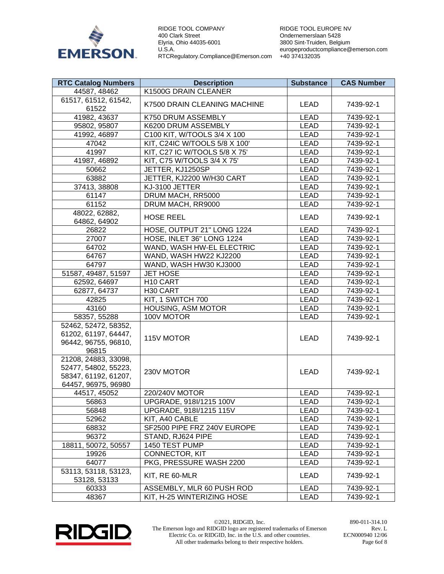

RIDGE TOOL EUROPE NV Ondernemerslaan 5428 3800 Sint-Truiden, Belgium europeproductcompliance@emerson.com +40 374132035

| <b>RTC Catalog Numbers</b>                                                                  | <b>Description</b>            | <b>Substance</b> | <b>CAS Number</b> |
|---------------------------------------------------------------------------------------------|-------------------------------|------------------|-------------------|
| 44587, 48462                                                                                | K1500G DRAIN CLEANER          |                  |                   |
| 61517, 61512, 61542,<br>61522                                                               | K7500 DRAIN CLEANING MACHINE  | <b>LEAD</b>      | 7439-92-1         |
| 41982, 43637                                                                                | K750 DRUM ASSEMBLY            | <b>LEAD</b>      | 7439-92-1         |
| 95802, 95807                                                                                | K6200 DRUM ASSEMBLY           | <b>LEAD</b>      | 7439-92-1         |
| 41992, 46897                                                                                | C100 KIT, W/TOOLS 3/4 X 100   | <b>LEAD</b>      | 7439-92-1         |
| 47042                                                                                       | KIT, C24IC W/TOOLS 5/8 X 100' | <b>LEAD</b>      | 7439-92-1         |
| 41997                                                                                       | KIT, C27 IC W/TOOLS 5/8 X 75' | <b>LEAD</b>      | 7439-92-1         |
| 41987, 46892                                                                                | KIT, C75 W/TOOLS 3/4 X 75'    | <b>LEAD</b>      | 7439-92-1         |
| 50662                                                                                       | JETTER, KJ1250SP              | <b>LEAD</b>      | 7439-92-1         |
| 63882                                                                                       | JETTER, KJ2200 W/H30 CART     | <b>LEAD</b>      | 7439-92-1         |
| 37413, 38808                                                                                | KJ-3100 JETTER                | <b>LEAD</b>      | 7439-92-1         |
| 61147                                                                                       | DRUM MACH, RR5000             | <b>LEAD</b>      | 7439-92-1         |
| 61152                                                                                       | DRUM MACH, RR9000             | <b>LEAD</b>      | 7439-92-1         |
| 48022, 62882,<br>64862, 64902                                                               | <b>HOSE REEL</b>              | <b>LEAD</b>      | 7439-92-1         |
| 26822                                                                                       | HOSE, OUTPUT 21" LONG 1224    | <b>LEAD</b>      | 7439-92-1         |
| 27007                                                                                       | HOSE, INLET 36" LONG 1224     | <b>LEAD</b>      | 7439-92-1         |
| 64702                                                                                       | WAND, WASH HW-EL ELECTRIC     | <b>LEAD</b>      | 7439-92-1         |
| 64767                                                                                       | WAND, WASH HW22 KJ2200        | <b>LEAD</b>      | 7439-92-1         |
| 64797                                                                                       | WAND, WASH HW30 KJ3000        | <b>LEAD</b>      | 7439-92-1         |
| 51587, 49487, 51597                                                                         | <b>JET HOSE</b>               | <b>LEAD</b>      | 7439-92-1         |
| 62592, 64697                                                                                | H10 CART                      | <b>LEAD</b>      | 7439-92-1         |
| 62877, 64737                                                                                | H <sub>30</sub> CART          | <b>LEAD</b>      | 7439-92-1         |
| 42825                                                                                       | KIT, 1 SWITCH 700             | <b>LEAD</b>      | 7439-92-1         |
| 43160                                                                                       | HOUSING, ASM MOTOR            | <b>LEAD</b>      | 7439-92-1         |
| 58357, 55288                                                                                | 100V MOTOR                    | <b>LEAD</b>      | 7439-92-1         |
| 52462, 52472, 58352,<br>61202, 61197, 64447,<br>96442, 96755, 96810,<br>96815               | 115V MOTOR                    | LEAD             | 7439-92-1         |
| 21208, 24883, 33098,<br>52477, 54802, 55223,<br>58347, 61192, 61207,<br>64457, 96975, 96980 | 230V MOTOR                    | LEAD             | 7439-92-1         |
| 44517, 45052                                                                                | 220/240V MOTOR                | <b>LEAD</b>      | 7439-92-1         |
| 56863                                                                                       | UPGRADE, 918l/1215 100V       | <b>LEAD</b>      | 7439-92-1         |
| 56848                                                                                       | UPGRADE, 918I/1215 115V       | LEAD             | 7439-92-1         |
| 52962                                                                                       | KIT, A40 CABLE                | LEAD             | 7439-92-1         |
| 68832                                                                                       | SF2500 PIPE FRZ 240V EUROPE   | LEAD             | 7439-92-1         |
| 96372                                                                                       | STAND, RJ624 PIPE             | LEAD             | 7439-92-1         |
| 18811, 50072, 50557                                                                         | 1450 TEST PUMP                | LEAD             | 7439-92-1         |
| 19926                                                                                       | CONNECTOR, KIT                | <b>LEAD</b>      | 7439-92-1         |
| 64077                                                                                       | PKG, PRESSURE WASH 2200       | LEAD             | 7439-92-1         |
| 53113, 53118, 53123,<br>53128, 53133                                                        | KIT, RE 60-MLR                | <b>LEAD</b>      | 7439-92-1         |
| 60333                                                                                       | ASSEMBLY, MLR 60 PUSH ROD     | <b>LEAD</b>      | 7439-92-1         |
| 48367                                                                                       | KIT, H-25 WINTERIZING HOSE    | LEAD             | 7439-92-1         |



©2021, RIDGID, Inc. 890-011-314.10 The Emerson logo and RIDGID logo are registered trademarks of Emerson Electric Co. or RIDGID, Inc. in the U.S. and other countries. All other trademarks belong to their respective holders.

Rev. L ECN000940 12/06 Page 6of 8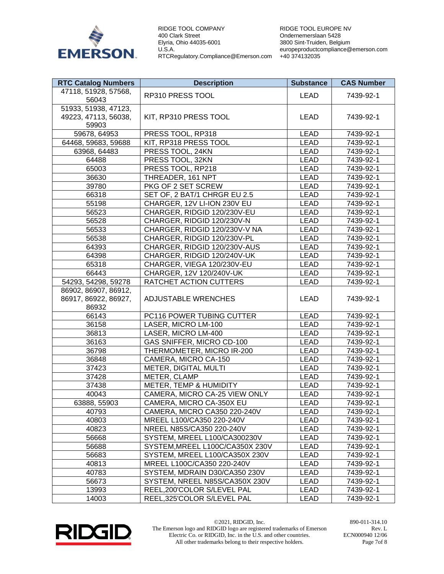

RIDGE TOOL EUROPE NV Ondernemerslaan 5428 3800 Sint-Truiden, Belgium europeproductcompliance@emerson.com +40 374132035

| <b>RTC Catalog Numbers</b>                            | <b>Description</b>              | <b>Substance</b> | <b>CAS Number</b> |
|-------------------------------------------------------|---------------------------------|------------------|-------------------|
| 47118, 51928, 57568,<br>56043                         | RP310 PRESS TOOL                | LEAD             | 7439-92-1         |
| 51933, 51938, 47123,<br>49223, 47113, 56038,<br>59903 | KIT, RP310 PRESS TOOL           | <b>LEAD</b>      | 7439-92-1         |
| 59678, 64953                                          | PRESS TOOL, RP318               | <b>LEAD</b>      | 7439-92-1         |
| 64468, 59683, 59688                                   | KIT, RP318 PRESS TOOL           | <b>LEAD</b>      | 7439-92-1         |
| 63968, 64483                                          | PRESS TOOL, 24KN                | <b>LEAD</b>      | 7439-92-1         |
| 64488                                                 | PRESS TOOL, 32KN                | <b>LEAD</b>      | 7439-92-1         |
| 65003                                                 | PRESS TOOL, RP218               | <b>LEAD</b>      | 7439-92-1         |
| 36630                                                 | THREADER, 161 NPT               | <b>LEAD</b>      | 7439-92-1         |
| 39780                                                 | PKG OF 2 SET SCREW              | <b>LEAD</b>      | 7439-92-1         |
| 66318                                                 | SET OF, 2 BAT/1 CHRGR EU 2.5    | <b>LEAD</b>      | 7439-92-1         |
| 55198                                                 | CHARGER, 12V LI-ION 230V EU     | <b>LEAD</b>      | 7439-92-1         |
| 56523                                                 | CHARGER, RIDGID 120/230V-EU     | <b>LEAD</b>      | 7439-92-1         |
| 56528                                                 | CHARGER, RIDGID 120/230V-N      | <b>LEAD</b>      | 7439-92-1         |
| 56533                                                 | CHARGER, RIDGID 120/230V-V NA   | <b>LEAD</b>      | 7439-92-1         |
| 56538                                                 | CHARGER, RIDGID 120/230V-PL     | <b>LEAD</b>      | 7439-92-1         |
| 64393                                                 | CHARGER, RIDGID 120/230V-AUS    | <b>LEAD</b>      | 7439-92-1         |
| 64398                                                 | CHARGER, RIDGID 120/240V-UK     | <b>LEAD</b>      | 7439-92-1         |
| 65318                                                 | CHARGER, VIEGA 120/230V-EU      | <b>LEAD</b>      | 7439-92-1         |
| 66443                                                 | CHARGER, 12V 120/240V-UK        | <b>LEAD</b>      | 7439-92-1         |
| 54293, 54298, 59278                                   | RATCHET ACTION CUTTERS          | <b>LEAD</b>      | 7439-92-1         |
| 86902, 86907, 86912,<br>86917, 86922, 86927,<br>86932 | <b>ADJUSTABLE WRENCHES</b>      | <b>LEAD</b>      | 7439-92-1         |
| 66143                                                 | PC116 POWER TUBING CUTTER       | <b>LEAD</b>      | 7439-92-1         |
| 36158                                                 | LASER, MICRO LM-100             | <b>LEAD</b>      | 7439-92-1         |
| 36813                                                 | LASER, MICRO LM-400             | <b>LEAD</b>      | 7439-92-1         |
| 36163                                                 | GAS SNIFFER, MICRO CD-100       | <b>LEAD</b>      | 7439-92-1         |
| 36798                                                 | THERMOMETER, MICRO IR-200       | <b>LEAD</b>      | 7439-92-1         |
| 36848                                                 | CAMERA, MICRO CA-150            | <b>LEAD</b>      | 7439-92-1         |
| 37423                                                 | METER, DIGITAL MULTI            | <b>LEAD</b>      | 7439-92-1         |
| 37428                                                 | METER, CLAMP                    | <b>LEAD</b>      | 7439-92-1         |
| 37438                                                 | METER, TEMP & HUMIDITY          | <b>LEAD</b>      | 7439-92-1         |
| 40043                                                 | CAMERA, MICRO CA-25 VIEW ONLY   | <b>LEAD</b>      | 7439-92-1         |
| 63888, 55903                                          | CAMERA, MICRO CA-350X EU        | LEAD             | 7439-92-1         |
| 40793                                                 | CAMERA, MICRO CA350 220-240V    | LEAD             | 7439-92-1         |
| 40803                                                 | MREEL L100/CA350 220-240V       | LEAD             | 7439-92-1         |
| 40823                                                 | NREEL N85S/CA350 220-240V       | LEAD             | 7439-92-1         |
| 56668                                                 | SYSTEM, MREEL L100/CA300230V    | LEAD             | 7439-92-1         |
| 56688                                                 | SYSTEM, MREEL L100C/CA350X 230V | LEAD             | 7439-92-1         |
| 56683                                                 | SYSTEM, MREEL L100/CA350X 230V  | LEAD             | 7439-92-1         |
| 40813                                                 | MREEL L100C/CA350 220-240V      | LEAD             | 7439-92-1         |
| 40783                                                 | SYSTEM, MDRAIN D30/CA350 230V   | LEAD             | 7439-92-1         |
| 56673                                                 | SYSTEM, NREEL N85S/CA350X 230V  | LEAD             | 7439-92-1         |
| 13993                                                 | REEL,200'COLOR S/LEVEL PAL      | LEAD             | 7439-92-1         |
| 14003                                                 | REEL,325'COLOR S/LEVEL PAL      | LEAD             | 7439-92-1         |



©2021, RIDGID, Inc. 890-011-314.10 The Emerson logo and RIDGID logo are registered trademarks of Emerson Electric Co. or RIDGID, Inc. in the U.S. and other countries. All other trademarks belong to their respective holders.

Rev. L ECN000940 12/06 Page 7of 8